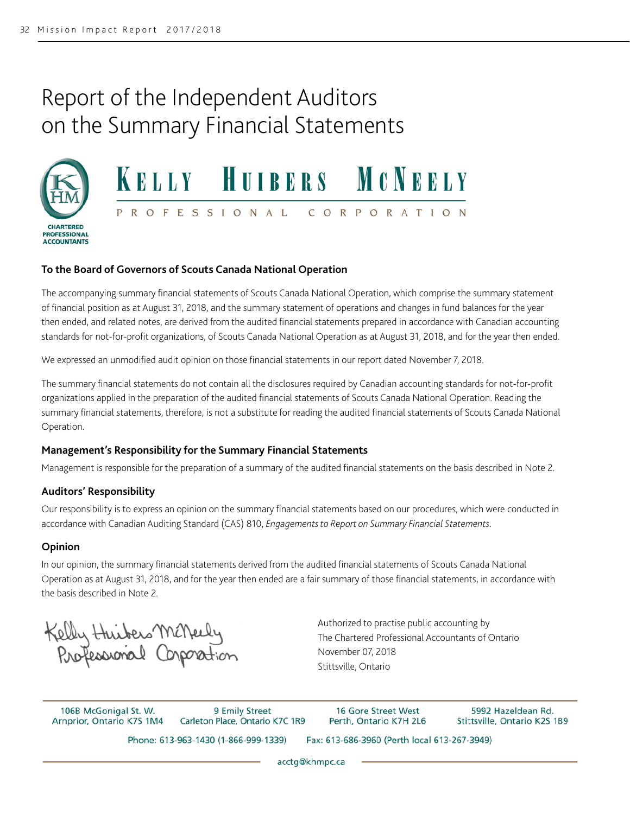## Report of the Independent Auditors on the Summary Financial Statements





#### **To the Board of Governors of Scouts Canada National Operation**

The accompanying summary financial statements of Scouts Canada National Operation, which comprise the summary statement of financial position as at August 31, 2018, and the summary statement of operations and changes in fund balances for the year then ended, and related notes, are derived from the audited financial statements prepared in accordance with Canadian accounting standards for not-for-profit organizations, of Scouts Canada National Operation as at August 31, 2018, and for the year then ended.

We expressed an unmodified audit opinion on those financial statements in our report dated November 7, 2018.

The summary financial statements do not contain all the disclosures required by Canadian accounting standards for not-for-profit organizations applied in the preparation of the audited financial statements of Scouts Canada National Operation. Reading the summary financial statements, therefore, is not a substitute for reading the audited financial statements of Scouts Canada National Operation.

#### **Management's Responsibility for the Summary Financial Statements**

Management is responsible for the preparation of a summary of the audited financial statements on the basis described in Note 2.

#### **Auditors' Responsibility**

Our responsibility is to express an opinion on the summary financial statements based on our procedures, which were conducted in accordance with Canadian Auditing Standard (CAS) 810, *Engagements to Report on Summary Financial Statements*.

#### **Opinion**

In our opinion, the summary financial statements derived from the audited financial statements of Scouts Canada National Operation as at August 31, 2018, and for the year then ended are a fair summary of those financial statements, in accordance with the basis described in Note 2.

Kelly Huibers McNeely<br>Professional Corporation

Authorized to practise public accounting by The Chartered Professional Accountants of Ontario November 07, 2018 Stittsville, Ontario

106B McGonigal St. W. Arnprior, Ontario K7S 1M4

9 Emily Street Carleton Place, Ontario K7C 1R9

16 Gore Street West Perth, Ontario K7H 2L6

Fax: 613-686-3960 (Perth local 613-267-3949)

5992 Hazeldean Rd. Stittsville, Ontario K2S 1B9

Phone: 613-963-1430 (1-866-999-1339)

acctg@khmpc.ca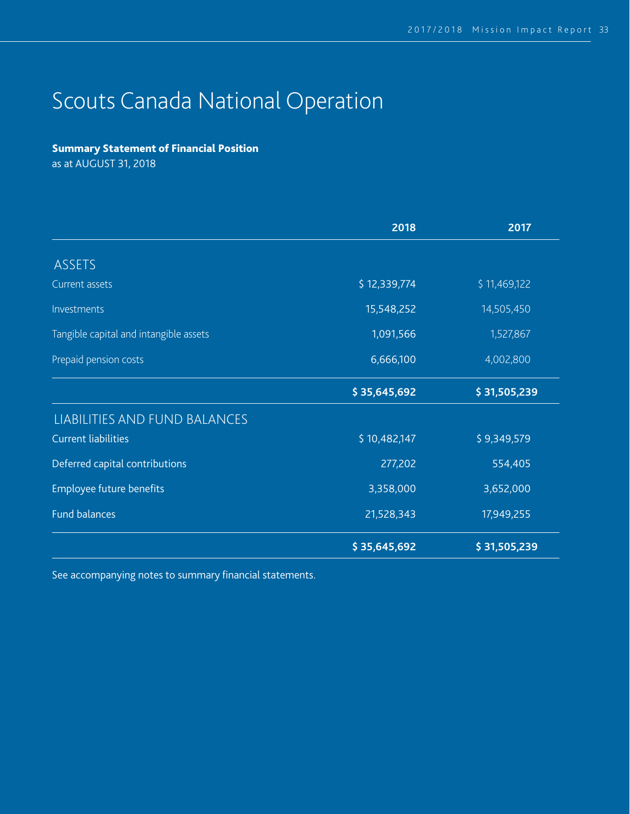# Scouts Canada National Operation

### Summary Statement of Financial Position

as at AUGUST 31, 2018

|                                        | 2018         | 2017         |  |
|----------------------------------------|--------------|--------------|--|
| <b>ASSETS</b>                          |              |              |  |
| Current assets                         | \$12,339,774 | \$11,469,122 |  |
| Investments                            | 15,548,252   | 14,505,450   |  |
| Tangible capital and intangible assets | 1,091,566    | 1,527,867    |  |
| Prepaid pension costs                  | 6,666,100    | 4,002,800    |  |
|                                        | \$35,645,692 | \$31,505,239 |  |
| LIABILITIES AND FUND BALANCES          |              |              |  |
| <b>Current liabilities</b>             | \$10,482,147 | \$9,349,579  |  |
| Deferred capital contributions         | 277,202      | 554,405      |  |
| Employee future benefits               | 3,358,000    | 3,652,000    |  |
| <b>Fund balances</b>                   | 21,528,343   | 17,949,255   |  |
|                                        | \$35,645,692 | \$31,505,239 |  |

See accompanying notes to summary financial statements.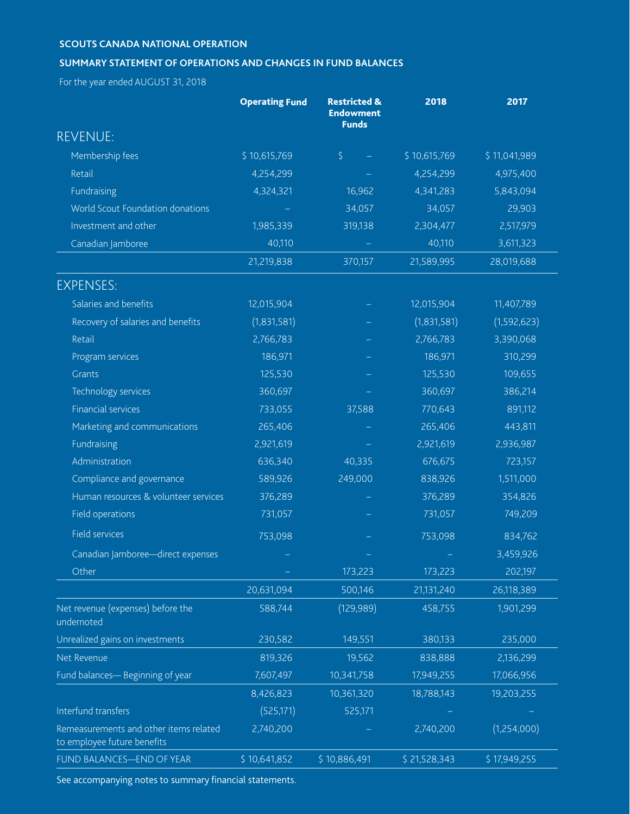#### **SCOUTS CANADA NATIONAL OPERATION**

#### **SUMMARY STATEMENT OF OPERATIONS AND CHANGES IN FUND BALANCES**

For the year ended AUGUST 31, 2018

|                                                                       | <b>Operating Fund</b> | <b>Restricted &amp;</b><br><b>Endowment</b><br><b>Funds</b> | 2018         | 2017         |
|-----------------------------------------------------------------------|-----------------------|-------------------------------------------------------------|--------------|--------------|
| <b>REVENUE:</b>                                                       |                       |                                                             |              |              |
| Membership fees                                                       | \$10,615,769          | $\zeta$                                                     | \$10,615,769 | \$11,041,989 |
| Retail                                                                | 4,254,299             |                                                             | 4,254,299    | 4,975,400    |
| Fundraising                                                           | 4,324,321             | 16,962                                                      | 4,341,283    | 5,843,094    |
| World Scout Foundation donations                                      |                       | 34,057                                                      | 34,057       | 29,903       |
| Investment and other                                                  | 1,985,339             | 319,138                                                     | 2,304,477    | 2,517,979    |
| Canadian Jamboree                                                     | 40,110                |                                                             | 40,110       | 3,611,323    |
|                                                                       | 21,219,838            | 370,157                                                     | 21,589,995   | 28,019,688   |
| <b>EXPENSES:</b>                                                      |                       |                                                             |              |              |
| Salaries and benefits                                                 | 12,015,904            |                                                             | 12,015,904   | 11,407,789   |
| Recovery of salaries and benefits                                     | (1,831,581)           |                                                             | (1,831,581)  | (1,592,623)  |
| Retail                                                                | 2,766,783             |                                                             | 2,766,783    | 3,390,068    |
| Program services                                                      | 186,971               |                                                             | 186,971      | 310,299      |
| <b>Grants</b>                                                         | 125,530               |                                                             | 125,530      | 109,655      |
| Technology services                                                   | 360,697               |                                                             | 360,697      | 386,214      |
| <b>Financial services</b>                                             | 733,055               | 37,588                                                      | 770,643      | 891,112      |
| Marketing and communications                                          | 265,406               |                                                             | 265,406      | 443,811      |
| Fundraising                                                           | 2,921,619             |                                                             | 2,921,619    | 2,936,987    |
| Administration                                                        | 636,340               | 40,335                                                      | 676,675      | 723,157      |
| Compliance and governance                                             | 589,926               | 249,000                                                     | 838,926      | 1,511,000    |
| Human resources & volunteer services                                  | 376,289               |                                                             | 376,289      | 354,826      |
| Field operations                                                      | 731,057               |                                                             | 731,057      | 749,209      |
| Field services                                                        | 753,098               |                                                             | 753,098      | 834,762      |
| Canadian Jamboree-direct expenses                                     |                       |                                                             |              | 3,459,926    |
| Other                                                                 |                       | 173,223                                                     | 173,223      | 202,197      |
|                                                                       | 20,631,094            | 500,146                                                     | 21,131,240   | 26,118,389   |
| Net revenue (expenses) before the<br>undernoted                       | 588,744               | (129, 989)                                                  | 458,755      | 1,901,299    |
| Unrealized gains on investments                                       | 230,582               | 149,551                                                     | 380,133      | 235,000      |
| Net Revenue                                                           | 819,326               | 19,562                                                      | 838,888      | 2,136,299    |
| Fund balances-Beginning of year                                       | 7,607,497             | 10,341,758                                                  | 17,949,255   | 17,066,956   |
|                                                                       | 8,426,823             | 10,361,320                                                  | 18,788,143   | 19,203,255   |
| Interfund transfers                                                   | (525, 171)            | 525,171                                                     |              |              |
| Remeasurements and other items related<br>to employee future benefits | 2,740,200             |                                                             | 2,740,200    | (1,254,000)  |
| FUND BALANCES-END OF YEAR                                             | \$10,641,852          | \$10,886,491                                                | \$21,528,343 | \$17,949,255 |

See accompanying notes to summary financial statements.